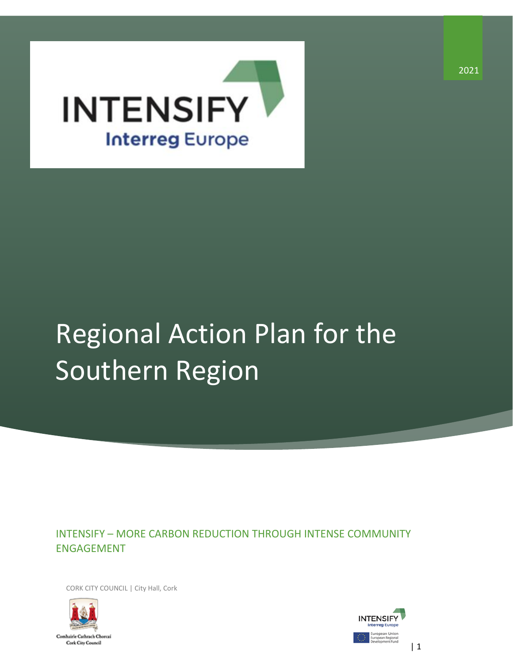

## Regional Action Plan for the Southern Region

INTENSIFY – MORE CARBON REDUCTION THROUGH INTENSE COMMUNITY ENGAGEMENT

CORK CITY COUNCIL | City Hall, Cork



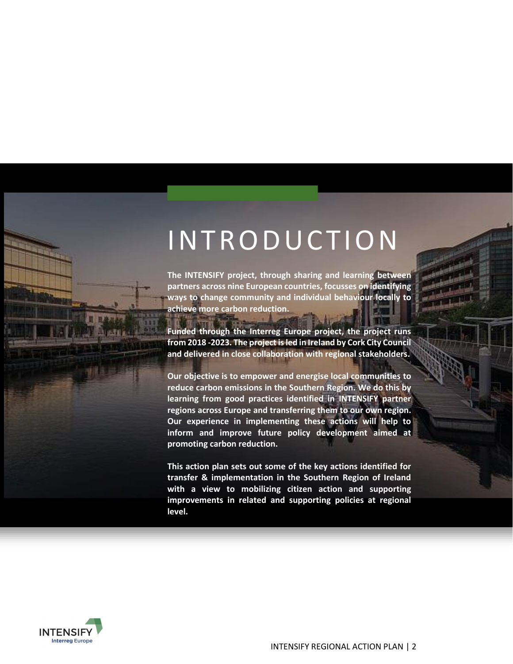### <span id="page-1-1"></span><span id="page-1-0"></span>INTRODUCTION

**The INTENSIFY project, through sharing and learning between partners across nine European countries, focusses on identifying ways to change community and individual behaviour locally to achieve more carbon reduction.** 

**Funded through the Interreg Europe project, the project runs from 2018 -2023. The project is led in Ireland by Cork City Council and delivered in close collaboration with regional stakeholders.** 

**Our objective is to empower and energise local communities to reduce carbon emissions in the Southern Region. We do this by learning from good practices identified in INTENSIFY partner regions across Europe and transferring them to our own region. Our experience in implementing these actions will help to inform and improve future policy development aimed at promoting carbon reduction.**

**This action plan sets out some of the key actions identified for transfer & implementation in the Southern Region of Ireland with a view to mobilizing citizen action and supporting improvements in related and supporting policies at regional level.**

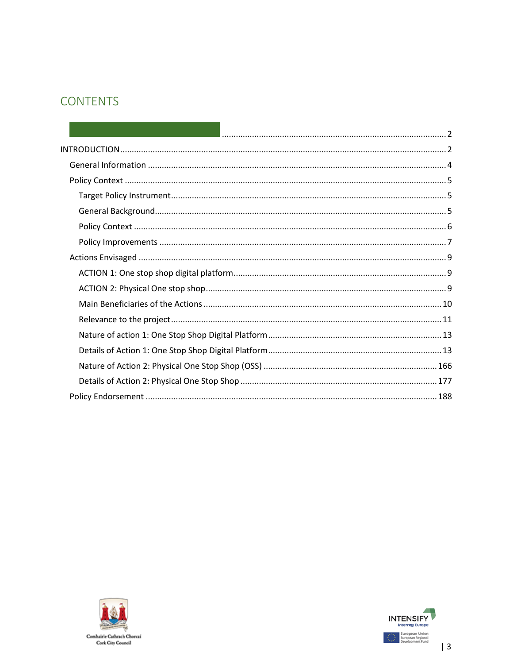#### **CONTENTS**



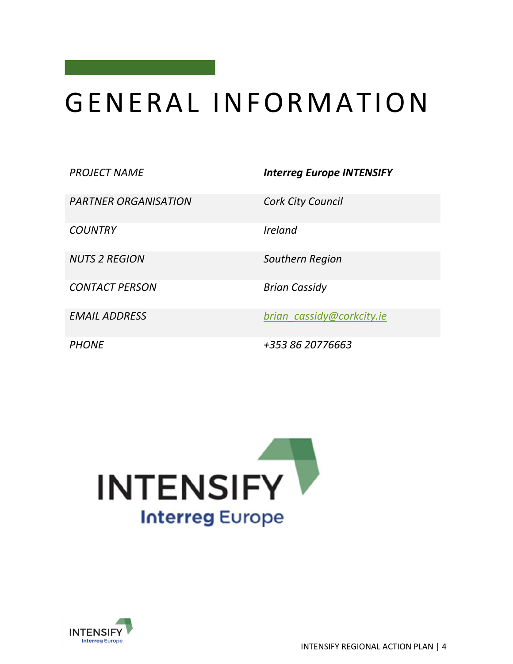### <span id="page-3-0"></span>GENER AL INF ORMATION

*PROJECT NAME Interreg Europe INTENSIFY* 

*PARTNER ORGANISATION Cork City Council* 

*COUNTRY Ireland* 

**CONTACT PERSON Brian Cassidy** 

*NUTS 2 REGION Southern Region*

*EMAIL ADDRESS [brian\\_cassidy@corkcity.ie](mailto:brian_cassidy@corkcity.ie)*

*PHONE +353 86 20776663*



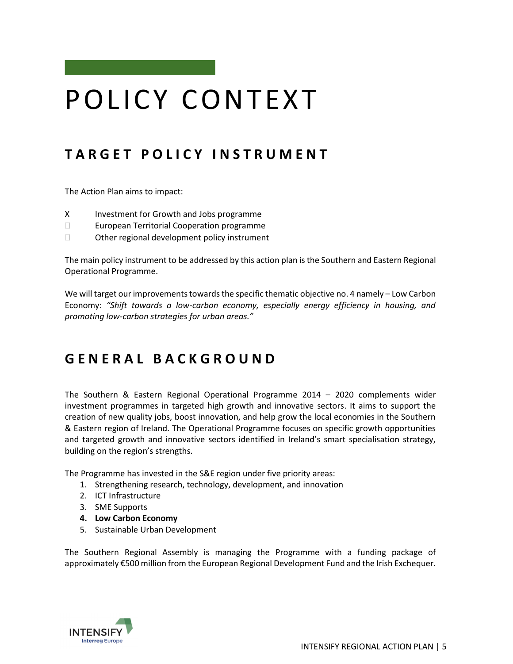### <span id="page-4-0"></span>POLICY CONTEXT

#### <span id="page-4-1"></span>**T A R G E T P O L I C Y I N S T R U M E N T**

The Action Plan aims to impact:

- X Investment for Growth and Jobs programme
- □ European Territorial Cooperation programme
- $\Box$  Other regional development policy instrument

The main policy instrument to be addressed by this action plan is the Southern and Eastern Regional Operational Programme.

We will target our improvements towards the specific thematic objective no. 4 namely – Low Carbon Economy: *"Shift towards a low-carbon economy, especially energy efficiency in housing, and promoting low-carbon strategies for urban areas."*

#### <span id="page-4-2"></span>**G E N E R A L B A C K G R O U N D**

The Southern & Eastern Regional Operational Programme 2014 – 2020 complements wider investment programmes in targeted high growth and innovative sectors. It aims to support the creation of new quality jobs, boost innovation, and help grow the local economies in the Southern & Eastern region of Ireland. The Operational Programme focuses on specific growth opportunities and targeted growth and innovative sectors identified in Ireland's smart specialisation strategy, building on the region's strengths.

The Programme has invested in the S&E region under five priority areas:

- 1. Strengthening research, technology, development, and innovation
- 2. ICT Infrastructure
- 3. SME Supports
- **4. Low Carbon Economy**
- 5. Sustainable Urban Development

The Southern Regional Assembly is managing the Programme with a funding package of approximately €500 million from the European Regional Development Fund and the Irish Exchequer.

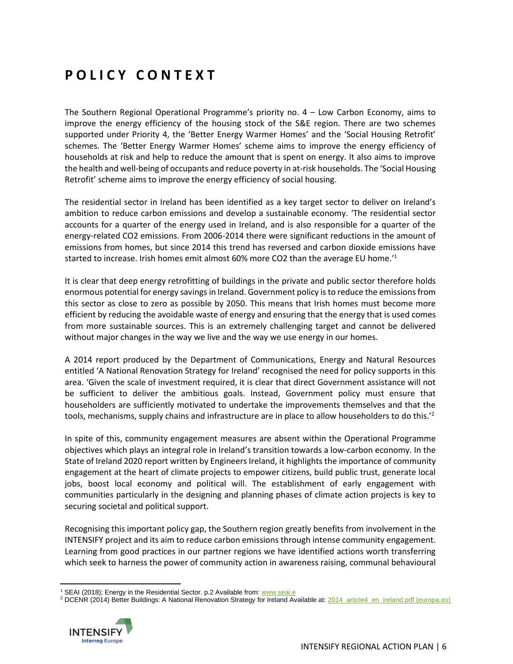#### <span id="page-5-0"></span>**P O L I C Y C O N T E X T**

The Southern Regional Operational Programme's priority no. 4 – Low Carbon Economy, aims to improve the energy efficiency of the housing stock of the S&E region. There are two schemes supported under Priority 4, the 'Better Energy Warmer Homes' and the 'Social Housing Retrofit' schemes. The 'Better Energy Warmer Homes' scheme aims to improve the energy efficiency of households at risk and help to reduce the amount that is spent on energy. It also aims to improve the health and well-being of occupants and reduce poverty in at-risk households. The 'Social Housing Retrofit' scheme aims to improve the energy efficiency of social housing.

The residential sector in Ireland has been identified as a key target sector to deliver on Ireland's ambition to reduce carbon emissions and develop a sustainable economy. 'The residential sector accounts for a quarter of the energy used in Ireland, and is also responsible for a quarter of the energy-related CO2 emissions. From 2006-2014 there were significant reductions in the amount of emissions from homes, but since 2014 this trend has reversed and carbon dioxide emissions have started to increase. Irish homes emit almost 60% more CO2 than the average EU home.<sup>'1</sup>

It is clear that deep energy retrofitting of buildings in the private and public sector therefore holds enormous potential for energy savings in Ireland. Government policy is to reduce the emissions from this sector as close to zero as possible by 2050. This means that Irish homes must become more efficient by reducing the avoidable waste of energy and ensuring that the energy that is used comes from more sustainable sources. This is an extremely challenging target and cannot be delivered without major changes in the way we live and the way we use energy in our homes.

A 2014 report produced by the Department of Communications, Energy and Natural Resources entitled 'A National Renovation Strategy for Ireland' recognised the need for policy supports in this area. 'Given the scale of investment required, it is clear that direct Government assistance will not be sufficient to deliver the ambitious goals. Instead, Government policy must ensure that householders are sufficiently motivated to undertake the improvements themselves and that the tools, mechanisms, supply chains and infrastructure are in place to allow householders to do this.<sup>'2</sup>

In spite of this, community engagement measures are absent within the Operational Programme objectives which plays an integral role in Ireland's transition towards a low-carbon economy. In the State of Ireland 2020 report written by Engineers Ireland, it highlights the importance of community engagement at the heart of climate projects to empower citizens, build public trust, generate local jobs, boost local economy and political will. The establishment of early engagement with communities particularly in the designing and planning phases of climate action projects is key to securing societal and political support.

Recognising this important policy gap, the Southern region greatly benefits from involvement in the INTENSIFY project and its aim to reduce carbon emissions through intense community engagement. Learning from good practices in our partner regions we have identified actions worth transferring which seek to harness the power of community action in awareness raising, communal behavioural

<sup>&</sup>lt;sup>2</sup> DCENR (2014) Better Buildings: A National Renovation Strategy for Ireland Available at[: 2014\\_article4\\_en\\_ireland.pdf \(europa.eu\)](https://ec.europa.eu/energy/sites/ener/files/documents/2014_article4_en_ireland.pdf)



<sup>&</sup>lt;sup>1</sup> SEAI (2018); Energy in the Residential Sector. p.2 Available from[: www.seai.e](http://www.seai.e/)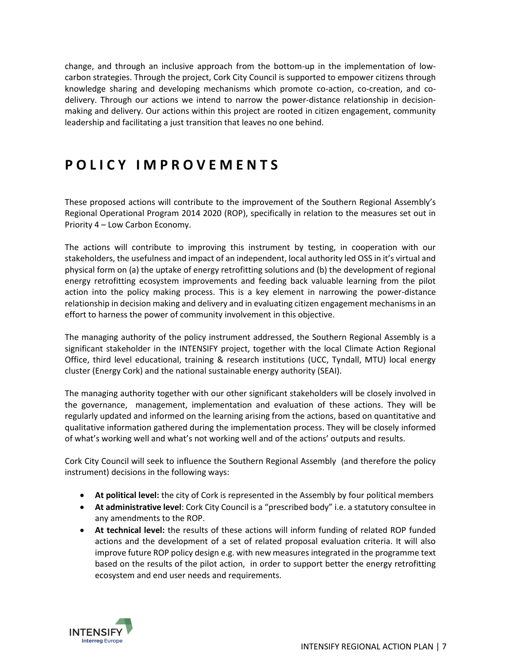change, and through an inclusive approach from the bottom-up in the implementation of lowcarbon strategies. Through the project, Cork City Council is supported to empower citizens through knowledge sharing and developing mechanisms which promote co-action, co-creation, and codelivery. Through our actions we intend to narrow the power-distance relationship in decisionmaking and delivery. Our actions within this project are rooted in citizen engagement, community leadership and facilitating a just transition that leaves no one behind.

#### <span id="page-6-0"></span>**P O L I C Y I M P R O V E M E N T S**

These proposed actions will contribute to the improvement of the Southern Regional Assembly's Regional Operational Program 2014 2020 (ROP), specifically in relation to the measures set out in Priority 4 – Low Carbon Economy.

The actions will contribute to improving this instrument by testing, in cooperation with our stakeholders, the usefulness and impact of an independent, local authority led OSS in it's virtual and physical form on (a) the uptake of energy retrofitting solutions and (b) the development of regional energy retrofitting ecosystem improvements and feeding back valuable learning from the pilot action into the policy making process. This is a key element in narrowing the power-distance relationship in decision making and delivery and in evaluating citizen engagement mechanisms in an effort to harness the power of community involvement in this objective.

The managing authority of the policy instrument addressed, the Southern Regional Assembly is a significant stakeholder in the INTENSIFY project, together with the local Climate Action Regional Office, third level educational, training & research institutions (UCC, Tyndall, MTU) local energy cluster (Energy Cork) and the national sustainable energy authority (SEAI).

The managing authority together with our other significant stakeholders will be closely involved in the governance, management, implementation and evaluation of these actions. They will be regularly updated and informed on the learning arising from the actions, based on quantitative and qualitative information gathered during the implementation process. They will be closely informed of what's working well and what's not working well and of the actions' outputs and results.

Cork City Council will seek to influence the Southern Regional Assembly (and therefore the policy instrument) decisions in the following ways:

- **At political level:** the city of Cork is represented in the Assembly by four political members
- **At administrative level**: Cork City Council is a "prescribed body" i.e. a statutory consultee in any amendments to the ROP.
- **At technical level:** the results of these actions will inform funding of related ROP funded actions and the development of a set of related proposal evaluation criteria. It will also improve future ROP policy design e.g. with new measures integrated in the programme text based on the results of the pilot action, in order to support better the energy retrofitting ecosystem and end user needs and requirements.

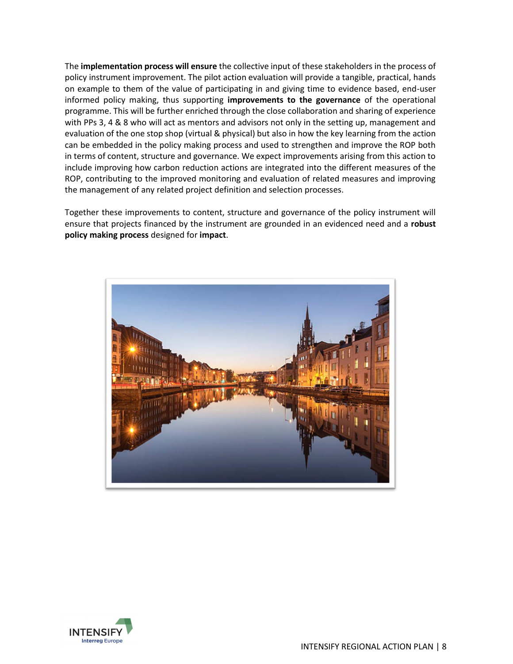The **implementation process will ensure** the collective input of these stakeholders in the process of policy instrument improvement. The pilot action evaluation will provide a tangible, practical, hands on example to them of the value of participating in and giving time to evidence based, end-user informed policy making, thus supporting **improvements to the governance** of the operational programme. This will be further enriched through the close collaboration and sharing of experience with PPs 3, 4 & 8 who will act as mentors and advisors not only in the setting up, management and evaluation of the one stop shop (virtual & physical) but also in how the key learning from the action can be embedded in the policy making process and used to strengthen and improve the ROP both in terms of content, structure and governance. We expect improvements arising from this action to include improving how carbon reduction actions are integrated into the different measures of the ROP, contributing to the improved monitoring and evaluation of related measures and improving the management of any related project definition and selection processes.

Together these improvements to content, structure and governance of the policy instrument will ensure that projects financed by the instrument are grounded in an evidenced need and a **robust policy making process** designed for **impact**.



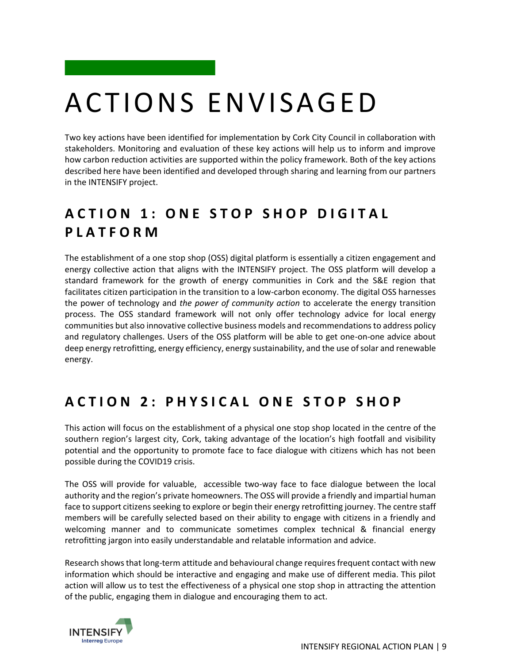## <span id="page-8-0"></span>ACTIO NS ENVISAGED

Two key actions have been identified for implementation by Cork City Council in collaboration with stakeholders. Monitoring and evaluation of these key actions will help us to inform and improve how carbon reduction activities are supported within the policy framework. Both of the key actions described here have been identified and developed through sharing and learning from our partners in the INTENSIFY project.

#### <span id="page-8-1"></span>**A C T I O N 1 : O N E S T O P S H O P D I G I T A L P L A T F O R M**

The establishment of a one stop shop (OSS) digital platform is essentially a citizen engagement and energy collective action that aligns with the INTENSIFY project. The OSS platform will develop a standard framework for the growth of energy communities in Cork and the S&E region that facilitates citizen participation in the transition to a low-carbon economy. The digital OSS harnesses the power of technology and *the power of community action* to accelerate the energy transition process. The OSS standard framework will not only offer technology advice for local energy communities but also innovative collective business models and recommendations to address policy and regulatory challenges. Users of the OSS platform will be able to get one-on-one advice about deep energy retrofitting, energy efficiency, energy sustainability, and the use of solar and renewable energy.

#### <span id="page-8-2"></span>**A C T I O N 2 : P H Y S I C A L O N E S T O P S H O P**

This action will focus on the establishment of a physical one stop shop located in the centre of the southern region's largest city, Cork, taking advantage of the location's high footfall and visibility potential and the opportunity to promote face to face dialogue with citizens which has not been possible during the COVID19 crisis.

The OSS will provide for valuable, accessible two-way face to face dialogue between the local authority and the region's private homeowners. The OSS will provide a friendly and impartial human face to support citizens seeking to explore or begin their energy retrofitting journey. The centre staff members will be carefully selected based on their ability to engage with citizens in a friendly and welcoming manner and to communicate sometimes complex technical & financial energy retrofitting jargon into easily understandable and relatable information and advice.

Research shows that long-term attitude and behavioural change requires frequent contact with new information which should be interactive and engaging and make use of different media. This pilot action will allow us to test the effectiveness of a physical one stop shop in attracting the attention of the public, engaging them in dialogue and encouraging them to act.

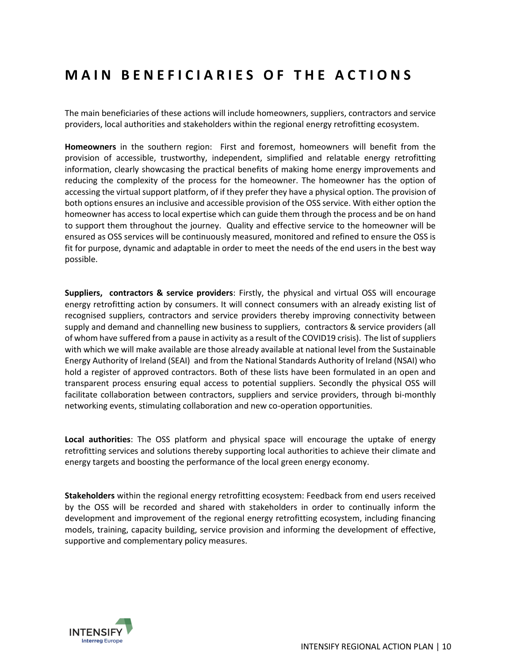#### <span id="page-9-0"></span>**MAIN BENEFICIARIES OF THE ACTIONS**

The main beneficiaries of these actions will include homeowners, suppliers, contractors and service providers, local authorities and stakeholders within the regional energy retrofitting ecosystem.

**Homeowners** in the southern region: First and foremost, homeowners will benefit from the provision of accessible, trustworthy, independent, simplified and relatable energy retrofitting information, clearly showcasing the practical benefits of making home energy improvements and reducing the complexity of the process for the homeowner. The homeowner has the option of accessing the virtual support platform, of if they prefer they have a physical option. The provision of both options ensures an inclusive and accessible provision of the OSS service. With either option the homeowner has access to local expertise which can guide them through the process and be on hand to support them throughout the journey. Quality and effective service to the homeowner will be ensured as OSS services will be continuously measured, monitored and refined to ensure the OSS is fit for purpose, dynamic and adaptable in order to meet the needs of the end users in the best way possible.

**Suppliers, contractors & service providers**: Firstly, the physical and virtual OSS will encourage energy retrofitting action by consumers. It will connect consumers with an already existing list of recognised suppliers, contractors and service providers thereby improving connectivity between supply and demand and channelling new business to suppliers, contractors & service providers (all of whom have suffered from a pause in activity as a result of the COVID19 crisis). The list of suppliers with which we will make available are those already available at national level from the Sustainable Energy Authority of Ireland (SEAI) and from the National Standards Authority of Ireland (NSAI) who hold a register of approved contractors. Both of these lists have been formulated in an open and transparent process ensuring equal access to potential suppliers. Secondly the physical OSS will facilitate collaboration between contractors, suppliers and service providers, through bi-monthly networking events, stimulating collaboration and new co-operation opportunities.

**Local authorities**: The OSS platform and physical space will encourage the uptake of energy retrofitting services and solutions thereby supporting local authorities to achieve their climate and energy targets and boosting the performance of the local green energy economy.

**Stakeholders** within the regional energy retrofitting ecosystem: Feedback from end users received by the OSS will be recorded and shared with stakeholders in order to continually inform the development and improvement of the regional energy retrofitting ecosystem, including financing models, training, capacity building, service provision and informing the development of effective, supportive and complementary policy measures.

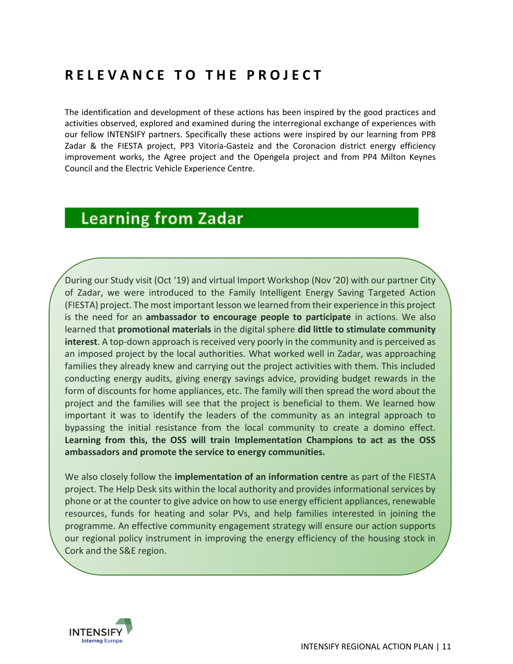#### <span id="page-10-0"></span>**R E L E V A N C E T O T H E P R O J E C T**

The identification and development of these actions has been inspired by the good practices and activities observed, explored and examined during the interregional exchange of experiences with our fellow INTENSIFY partners. Specifically these actions were inspired by our learning from PP8 Zadar & the FIESTA project, PP3 Vitoria-Gasteiz and the Coronacion district energy efficiency improvement works, the Agree project and the Opengela project and from PP4 Milton Keynes Council and the Electric Vehicle Experience Centre.

#### **Learning from Zadar**

During our Study visit (Oct '19) and virtual Import Workshop (Nov '20) with our partner City of Zadar, we were introduced to the Family Intelligent Energy Saving Targeted Action (FIESTA) project. The most important lesson we learned from their experience in this project is the need for an **ambassador to encourage people to participate** in actions. We also learned that **promotional materials** in the digital sphere **did little to stimulate community interest**. A top-down approach is received very poorly in the community and is perceived as an imposed project by the local authorities. What worked well in Zadar, was approaching families they already knew and carrying out the project activities with them. This included conducting energy audits, giving energy savings advice, providing budget rewards in the form of discounts for home appliances, etc. The family will then spread the word about the project and the families will see that the project is beneficial to them. We learned how important it was to identify the leaders of the community as an integral approach to bypassing the initial resistance from the local community to create a domino effect. **Learning from this, the OSS will train Implementation Champions to act as the OSS ambassadors and promote the service to energy communities.**

We also closely follow the **implementation of an information centre** as part of the FIESTA project. The Help Desk sits within the local authority and provides informational services by phone or at the counter to give advice on how to use energy efficient appliances, renewable resources, funds for heating and solar PVs, and help families interested in joining the programme. An effective community engagement strategy will ensure our action supports our regional policy instrument in improving the energy efficiency of the housing stock in Cork and the S&E region.

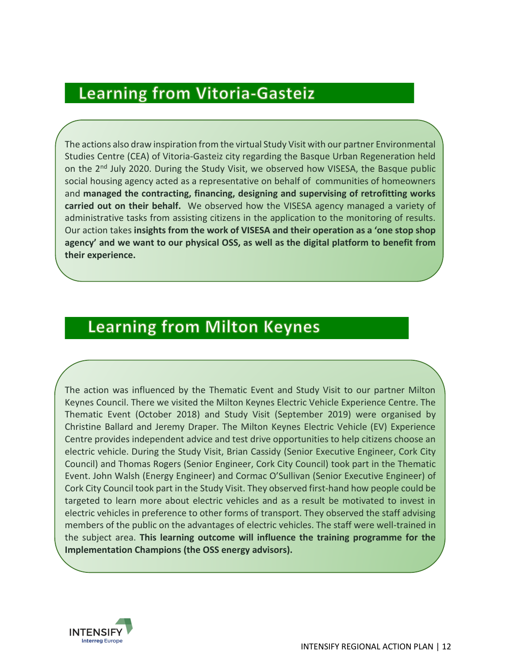### **Learning from Vitoria-Gasteiz**

The actions also draw inspiration from the virtual Study Visit with our partner Environmental Studies Centre (CEA) of Vitoria-Gasteiz city regarding the Basque Urban Regeneration held on the  $2<sup>nd</sup>$  July 2020. During the Study Visit, we observed how VISESA, the Basque public social housing agency acted as a representative on behalf of communities of homeowners and **managed the contracting, financing, designing and supervising of retrofitting works carried out on their behalf.** We observed how the VISESA agency managed a variety of administrative tasks from assisting citizens in the application to the monitoring of results. Our action takes **insights from the work of VISESA and their operation as a 'one stop shop agency' and we want to our physical OSS, as well as the digital platform to benefit from their experience.** 

### **Learning from Milton Keynes**

The action was influenced by the Thematic Event and Study Visit to our partner Milton Keynes Council. There we visited the Milton Keynes Electric Vehicle Experience Centre. The Thematic Event (October 2018) and Study Visit (September 2019) were organised by Christine Ballard and Jeremy Draper. The Milton Keynes Electric Vehicle (EV) Experience Centre provides independent advice and test drive opportunities to help citizens choose an electric vehicle. During the Study Visit, Brian Cassidy (Senior Executive Engineer, Cork City Council) and Thomas Rogers (Senior Engineer, Cork City Council) took part in the Thematic Event. John Walsh (Energy Engineer) and Cormac O'Sullivan (Senior Executive Engineer) of Cork City Council took part in the Study Visit. They observed first-hand how people could be targeted to learn more about electric vehicles and as a result be motivated to invest in electric vehicles in preference to other forms of transport. They observed the staff advising members of the public on the advantages of electric vehicles. The staff were well-trained in the subject area. **This learning outcome will influence the training programme for the Implementation Champions (the OSS energy advisors).**

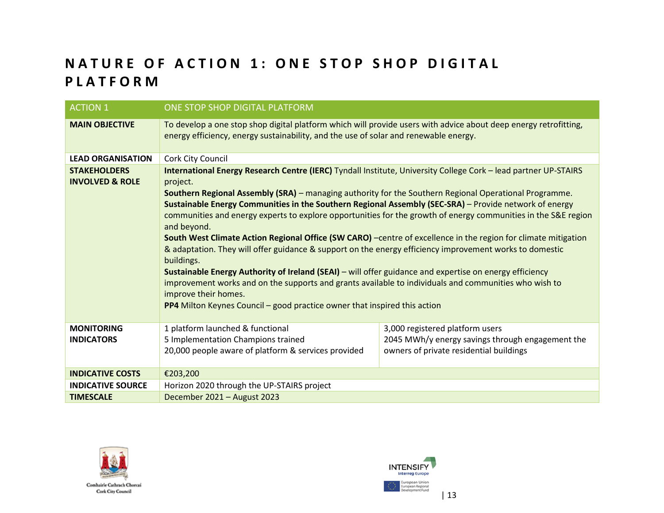#### **NATURE OF ACTION 1: ONE STOP SHOP DIGITAL P L A T F O R M**

<span id="page-12-1"></span><span id="page-12-0"></span>

| <b>ACTION 1</b>                                   | ONE STOP SHOP DIGITAL PLATFORM                                                                                                                                                                                                                                                                                                                                                                                                                                                                                                                                                                                                                                                                                                                                                                                                                                                                                                                                                                                                                              |                                                                                                                                |  |
|---------------------------------------------------|-------------------------------------------------------------------------------------------------------------------------------------------------------------------------------------------------------------------------------------------------------------------------------------------------------------------------------------------------------------------------------------------------------------------------------------------------------------------------------------------------------------------------------------------------------------------------------------------------------------------------------------------------------------------------------------------------------------------------------------------------------------------------------------------------------------------------------------------------------------------------------------------------------------------------------------------------------------------------------------------------------------------------------------------------------------|--------------------------------------------------------------------------------------------------------------------------------|--|
| <b>MAIN OBJECTIVE</b>                             | To develop a one stop shop digital platform which will provide users with advice about deep energy retrofitting,<br>energy efficiency, energy sustainability, and the use of solar and renewable energy.                                                                                                                                                                                                                                                                                                                                                                                                                                                                                                                                                                                                                                                                                                                                                                                                                                                    |                                                                                                                                |  |
| <b>LEAD ORGANISATION</b>                          | Cork City Council                                                                                                                                                                                                                                                                                                                                                                                                                                                                                                                                                                                                                                                                                                                                                                                                                                                                                                                                                                                                                                           |                                                                                                                                |  |
| <b>STAKEHOLDERS</b><br><b>INVOLVED &amp; ROLE</b> | International Energy Research Centre (IERC) Tyndall Institute, University College Cork - lead partner UP-STAIRS<br>project.<br>Southern Regional Assembly (SRA) - managing authority for the Southern Regional Operational Programme.<br>Sustainable Energy Communities in the Southern Regional Assembly (SEC-SRA) - Provide network of energy<br>communities and energy experts to explore opportunities for the growth of energy communities in the S&E region<br>and beyond.<br>South West Climate Action Regional Office (SW CARO) -centre of excellence in the region for climate mitigation<br>& adaptation. They will offer guidance & support on the energy efficiency improvement works to domestic<br>buildings.<br>Sustainable Energy Authority of Ireland (SEAI) - will offer guidance and expertise on energy efficiency<br>improvement works and on the supports and grants available to individuals and communities who wish to<br>improve their homes.<br><b>PP4</b> Milton Keynes Council – good practice owner that inspired this action |                                                                                                                                |  |
| <b>MONITORING</b><br><b>INDICATORS</b>            | 1 platform launched & functional<br>5 Implementation Champions trained<br>20,000 people aware of platform & services provided                                                                                                                                                                                                                                                                                                                                                                                                                                                                                                                                                                                                                                                                                                                                                                                                                                                                                                                               | 3,000 registered platform users<br>2045 MWh/y energy savings through engagement the<br>owners of private residential buildings |  |
| <b>INDICATIVE COSTS</b>                           | €203,200                                                                                                                                                                                                                                                                                                                                                                                                                                                                                                                                                                                                                                                                                                                                                                                                                                                                                                                                                                                                                                                    |                                                                                                                                |  |
| <b>INDICATIVE SOURCE</b>                          | Horizon 2020 through the UP-STAIRS project                                                                                                                                                                                                                                                                                                                                                                                                                                                                                                                                                                                                                                                                                                                                                                                                                                                                                                                                                                                                                  |                                                                                                                                |  |
| <b>TIMESCALE</b>                                  | December 2021 - August 2023                                                                                                                                                                                                                                                                                                                                                                                                                                                                                                                                                                                                                                                                                                                                                                                                                                                                                                                                                                                                                                 |                                                                                                                                |  |



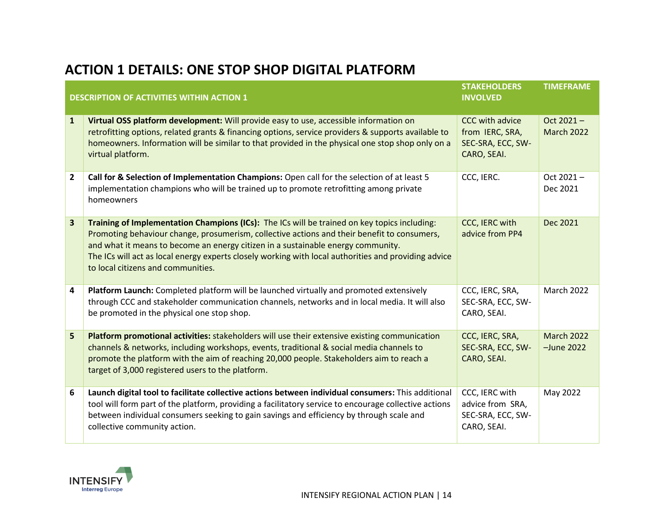#### **ACTION 1 DETAILS: ONE STOP SHOP DIGITAL PLATFORM**

|                | <b>DESCRIPTION OF ACTIVITIES WITHIN ACTION 1</b>                                                                                                                                                                                                                                                                                                                                                                              | <b>STAKEHOLDERS</b><br><b>INVOLVED</b>                                 | <b>TIMEFRAME</b>                   |
|----------------|-------------------------------------------------------------------------------------------------------------------------------------------------------------------------------------------------------------------------------------------------------------------------------------------------------------------------------------------------------------------------------------------------------------------------------|------------------------------------------------------------------------|------------------------------------|
| $\mathbf{1}$   | Virtual OSS platform development: Will provide easy to use, accessible information on<br>retrofitting options, related grants & financing options, service providers & supports available to<br>homeowners. Information will be similar to that provided in the physical one stop shop only on a<br>virtual platform.                                                                                                         | CCC with advice<br>from IERC, SRA,<br>SEC-SRA, ECC, SW-<br>CARO, SEAI. | Oct 2021-<br><b>March 2022</b>     |
| $\overline{2}$ | Call for & Selection of Implementation Champions: Open call for the selection of at least 5<br>implementation champions who will be trained up to promote retrofitting among private<br>homeowners                                                                                                                                                                                                                            | CCC, IERC.                                                             | Oct 2021-<br>Dec 2021              |
| 3              | Training of Implementation Champions (ICs): The ICs will be trained on key topics including:<br>Promoting behaviour change, prosumerism, collective actions and their benefit to consumers,<br>and what it means to become an energy citizen in a sustainable energy community.<br>The ICs will act as local energy experts closely working with local authorities and providing advice<br>to local citizens and communities. | CCC, IERC with<br>advice from PP4                                      | Dec 2021                           |
| 4              | Platform Launch: Completed platform will be launched virtually and promoted extensively<br>through CCC and stakeholder communication channels, networks and in local media. It will also<br>be promoted in the physical one stop shop.                                                                                                                                                                                        | CCC, IERC, SRA,<br>SEC-SRA, ECC, SW-<br>CARO, SEAI.                    | <b>March 2022</b>                  |
| 5              | Platform promotional activities: stakeholders will use their extensive existing communication<br>channels & networks, including workshops, events, traditional & social media channels to<br>promote the platform with the aim of reaching 20,000 people. Stakeholders aim to reach a<br>target of 3,000 registered users to the platform.                                                                                    | CCC, IERC, SRA,<br>SEC-SRA, ECC, SW-<br>CARO, SEAI.                    | <b>March 2022</b><br>$-$ June 2022 |
| 6              | Launch digital tool to facilitate collective actions between individual consumers: This additional<br>tool will form part of the platform, providing a facilitatory service to encourage collective actions<br>between individual consumers seeking to gain savings and efficiency by through scale and<br>collective community action.                                                                                       | CCC, IERC with<br>advice from SRA,<br>SEC-SRA, ECC, SW-<br>CARO, SEAI. | May 2022                           |

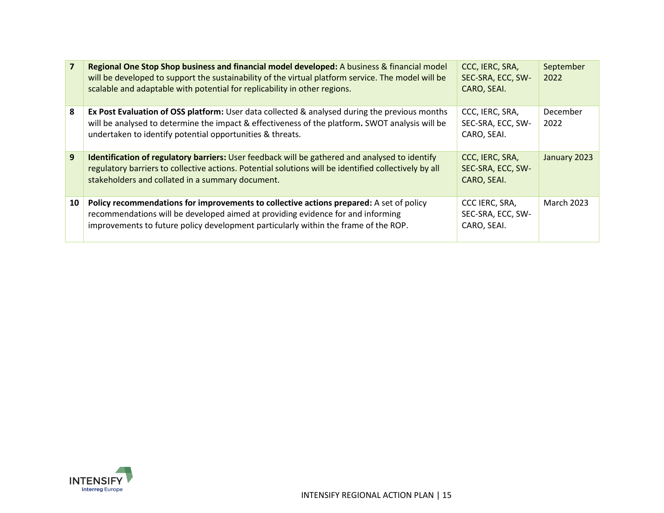|    | Regional One Stop Shop business and financial model developed: A business & financial model<br>will be developed to support the sustainability of the virtual platform service. The model will be<br>scalable and adaptable with potential for replicability in other regions. | CCC, IERC, SRA,<br>SEC-SRA, ECC, SW-<br>CARO, SEAI. | September<br>2022 |
|----|--------------------------------------------------------------------------------------------------------------------------------------------------------------------------------------------------------------------------------------------------------------------------------|-----------------------------------------------------|-------------------|
| 8  | Ex Post Evaluation of OSS platform: User data collected & analysed during the previous months<br>will be analysed to determine the impact & effectiveness of the platform. SWOT analysis will be<br>undertaken to identify potential opportunities & threats.                  | CCC, IERC, SRA,<br>SEC-SRA, ECC, SW-<br>CARO, SEAI. | December<br>2022  |
| 9  | <b>Identification of regulatory barriers:</b> User feedback will be gathered and analysed to identify<br>regulatory barriers to collective actions. Potential solutions will be identified collectively by all<br>stakeholders and collated in a summary document.             | CCC, IERC, SRA,<br>SEC-SRA, ECC, SW-<br>CARO, SEAI. | January 2023      |
| 10 | Policy recommendations for improvements to collective actions prepared: A set of policy<br>recommendations will be developed aimed at providing evidence for and informing<br>improvements to future policy development particularly within the frame of the ROP.              | CCC IERC, SRA,<br>SEC-SRA, ECC, SW-<br>CARO, SEAI.  | <b>March 2023</b> |

<span id="page-14-0"></span>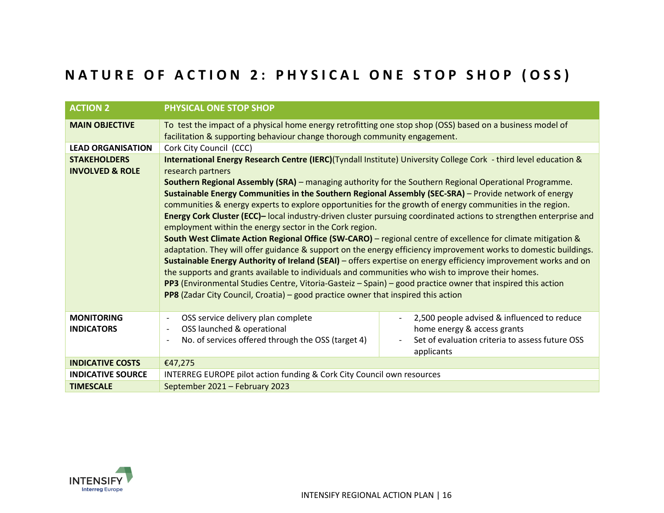#### **NATURE OF ACTION 2: PHYSICAL ONE STOP SHOP (OSS)**

| <b>ACTION 2</b>                                   | PHYSICAL ONE STOP SHOP                                                                                                                                                                                                                                                                                                                                                                                                                                                                                                                                                                                                                                                                                                                                                                                                                                                                                                                                                                                                                                                                                                                                                                                                                                                                                                 |                                                                                                                                             |  |  |
|---------------------------------------------------|------------------------------------------------------------------------------------------------------------------------------------------------------------------------------------------------------------------------------------------------------------------------------------------------------------------------------------------------------------------------------------------------------------------------------------------------------------------------------------------------------------------------------------------------------------------------------------------------------------------------------------------------------------------------------------------------------------------------------------------------------------------------------------------------------------------------------------------------------------------------------------------------------------------------------------------------------------------------------------------------------------------------------------------------------------------------------------------------------------------------------------------------------------------------------------------------------------------------------------------------------------------------------------------------------------------------|---------------------------------------------------------------------------------------------------------------------------------------------|--|--|
| <b>MAIN OBJECTIVE</b>                             | To test the impact of a physical home energy retrofitting one stop shop (OSS) based on a business model of<br>facilitation & supporting behaviour change thorough community engagement.                                                                                                                                                                                                                                                                                                                                                                                                                                                                                                                                                                                                                                                                                                                                                                                                                                                                                                                                                                                                                                                                                                                                |                                                                                                                                             |  |  |
| <b>LEAD ORGANISATION</b>                          | Cork City Council (CCC)                                                                                                                                                                                                                                                                                                                                                                                                                                                                                                                                                                                                                                                                                                                                                                                                                                                                                                                                                                                                                                                                                                                                                                                                                                                                                                |                                                                                                                                             |  |  |
| <b>STAKEHOLDERS</b><br><b>INVOLVED &amp; ROLE</b> | International Energy Research Centre (IERC)(Tyndall Institute) University College Cork - third level education &<br>research partners<br>Southern Regional Assembly (SRA) - managing authority for the Southern Regional Operational Programme.<br>Sustainable Energy Communities in the Southern Regional Assembly (SEC-SRA) - Provide network of energy<br>communities & energy experts to explore opportunities for the growth of energy communities in the region.<br>Energy Cork Cluster (ECC)-local industry-driven cluster pursuing coordinated actions to strengthen enterprise and<br>employment within the energy sector in the Cork region.<br>South West Climate Action Regional Office (SW-CARO) - regional centre of excellence for climate mitigation &<br>adaptation. They will offer guidance & support on the energy efficiency improvement works to domestic buildings.<br>Sustainable Energy Authority of Ireland (SEAI) - offers expertise on energy efficiency improvement works and on<br>the supports and grants available to individuals and communities who wish to improve their homes.<br>PP3 (Environmental Studies Centre, Vitoria-Gasteiz - Spain) - good practice owner that inspired this action<br>PP8 (Zadar City Council, Croatia) - good practice owner that inspired this action |                                                                                                                                             |  |  |
|                                                   |                                                                                                                                                                                                                                                                                                                                                                                                                                                                                                                                                                                                                                                                                                                                                                                                                                                                                                                                                                                                                                                                                                                                                                                                                                                                                                                        |                                                                                                                                             |  |  |
| <b>MONITORING</b><br><b>INDICATORS</b>            | OSS service delivery plan complete<br>$\overline{\phantom{a}}$<br>OSS launched & operational<br>$\overline{\phantom{a}}$<br>No. of services offered through the OSS (target 4)<br>$\overline{\phantom{a}}$                                                                                                                                                                                                                                                                                                                                                                                                                                                                                                                                                                                                                                                                                                                                                                                                                                                                                                                                                                                                                                                                                                             | 2,500 people advised & influenced to reduce<br>home energy & access grants<br>Set of evaluation criteria to assess future OSS<br>applicants |  |  |
| <b>INDICATIVE COSTS</b>                           | €47,275                                                                                                                                                                                                                                                                                                                                                                                                                                                                                                                                                                                                                                                                                                                                                                                                                                                                                                                                                                                                                                                                                                                                                                                                                                                                                                                |                                                                                                                                             |  |  |
| <b>INDICATIVE SOURCE</b>                          | INTERREG EUROPE pilot action funding & Cork City Council own resources                                                                                                                                                                                                                                                                                                                                                                                                                                                                                                                                                                                                                                                                                                                                                                                                                                                                                                                                                                                                                                                                                                                                                                                                                                                 |                                                                                                                                             |  |  |
| <b>TIMESCALE</b>                                  | September 2021 - February 2023                                                                                                                                                                                                                                                                                                                                                                                                                                                                                                                                                                                                                                                                                                                                                                                                                                                                                                                                                                                                                                                                                                                                                                                                                                                                                         |                                                                                                                                             |  |  |

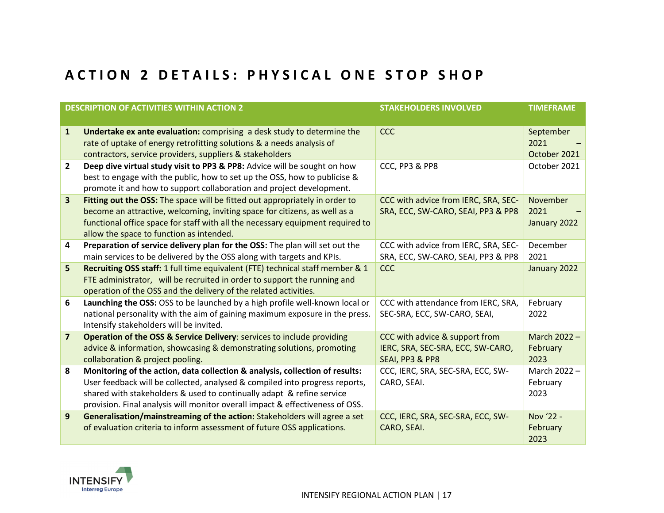#### **A C T I O N 2 D E T A I L S : P H Y S I C A L O N E S T O P S H O P**

<span id="page-16-0"></span>

| <b>DESCRIPTION OF ACTIVITIES WITHIN ACTION 2</b> |                                                                                                                            | <b>STAKEHOLDERS INVOLVED</b>         | <b>TIMEFRAME</b> |  |
|--------------------------------------------------|----------------------------------------------------------------------------------------------------------------------------|--------------------------------------|------------------|--|
|                                                  |                                                                                                                            |                                      |                  |  |
| $\mathbf{1}$                                     | Undertake ex ante evaluation: comprising a desk study to determine the                                                     | <b>CCC</b>                           | September        |  |
|                                                  | rate of uptake of energy retrofitting solutions & a needs analysis of                                                      |                                      | 2021             |  |
|                                                  | contractors, service providers, suppliers & stakeholders                                                                   |                                      | October 2021     |  |
| $\overline{2}$                                   | Deep dive virtual study visit to PP3 & PP8: Advice will be sought on how                                                   | CCC, PP3 & PP8                       | October 2021     |  |
|                                                  | best to engage with the public, how to set up the OSS, how to publicise &                                                  |                                      |                  |  |
|                                                  | promote it and how to support collaboration and project development.                                                       |                                      |                  |  |
| 3                                                | Fitting out the OSS: The space will be fitted out appropriately in order to                                                | CCC with advice from IERC, SRA, SEC- | November         |  |
|                                                  | become an attractive, welcoming, inviting space for citizens, as well as a                                                 | SRA, ECC, SW-CARO, SEAI, PP3 & PP8   | 2021             |  |
|                                                  | functional office space for staff with all the necessary equipment required to<br>allow the space to function as intended. |                                      | January 2022     |  |
| 4                                                | Preparation of service delivery plan for the OSS: The plan will set out the                                                | CCC with advice from IERC, SRA, SEC- | December         |  |
|                                                  | main services to be delivered by the OSS along with targets and KPIs.                                                      | SRA, ECC, SW-CARO, SEAI, PP3 & PP8   | 2021             |  |
| 5                                                | Recruiting OSS staff: 1 full time equivalent (FTE) technical staff member & 1                                              | <b>CCC</b>                           | January 2022     |  |
|                                                  | FTE administrator, will be recruited in order to support the running and                                                   |                                      |                  |  |
|                                                  | operation of the OSS and the delivery of the related activities.                                                           |                                      |                  |  |
| 6                                                | Launching the OSS: OSS to be launched by a high profile well-known local or                                                | CCC with attendance from IERC, SRA,  | February         |  |
|                                                  | national personality with the aim of gaining maximum exposure in the press.                                                | SEC-SRA, ECC, SW-CARO, SEAI,         | 2022             |  |
|                                                  | Intensify stakeholders will be invited.                                                                                    |                                      |                  |  |
| $\overline{\mathbf{z}}$                          | Operation of the OSS & Service Delivery: services to include providing                                                     | CCC with advice & support from       | March 2022 -     |  |
|                                                  | advice & information, showcasing & demonstrating solutions, promoting                                                      | IERC, SRA, SEC-SRA, ECC, SW-CARO,    | February         |  |
|                                                  | collaboration & project pooling.                                                                                           | SEAI, PP3 & PP8                      | 2023             |  |
| 8                                                | Monitoring of the action, data collection & analysis, collection of results:                                               | CCC, IERC, SRA, SEC-SRA, ECC, SW-    | March 2022 -     |  |
|                                                  | User feedback will be collected, analysed & compiled into progress reports,                                                | CARO, SEAI.                          | February         |  |
|                                                  | shared with stakeholders & used to continually adapt & refine service                                                      |                                      | 2023             |  |
|                                                  | provision. Final analysis will monitor overall impact & effectiveness of OSS.                                              |                                      |                  |  |
| 9                                                | Generalisation/mainstreaming of the action: Stakeholders will agree a set                                                  | CCC, IERC, SRA, SEC-SRA, ECC, SW-    | Nov '22 -        |  |
|                                                  | of evaluation criteria to inform assessment of future OSS applications.                                                    | CARO, SEAI.                          | February         |  |
|                                                  |                                                                                                                            |                                      | 2023             |  |

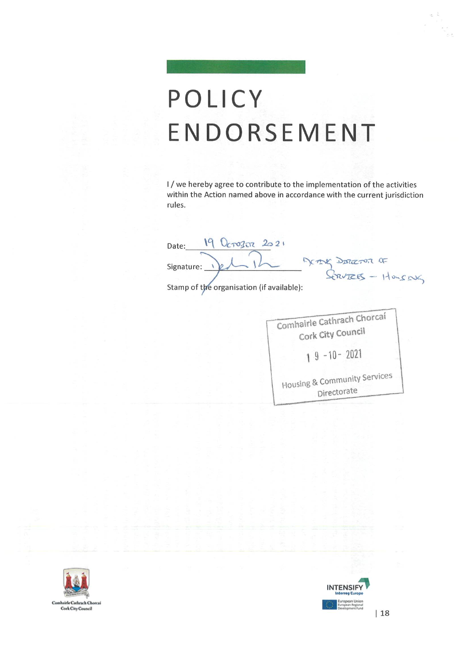### POLICY ENDORSEMENT

I/we hereby agree to contribute to the implementation of the activities within the Action named above in accordance with the current jurisdiction rules.

19 Octo302 2021 Date: METHY DETECTOR OF Signature: Stamp of the organisation (if available):

Comhairle Cathrach Chorcaí Cork City Council  $19 - 10 - 2021$ Housing & Community Services

Directorate



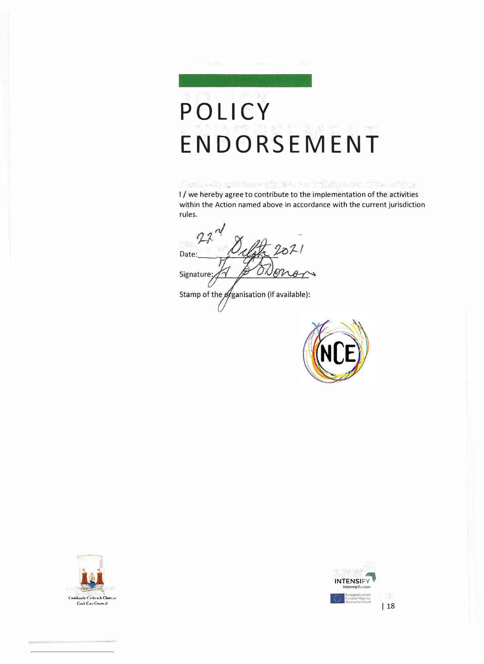# **PO LI CY ENDORSEMENT**

fent wir grieben tiget in heinen der grie alste I/ we hereby agree to contribute to the implementation of the activities within the Action named above in accordance with the current jurisdiction rules.

 $221$ Date: Signature: Stamp of the ofganisation (if available):





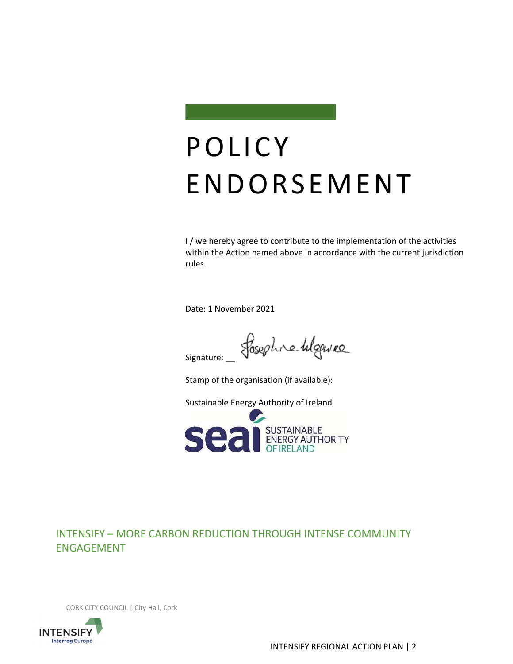

### POLICY ENDORSEMENT

I / we hereby agree to contribute to the implementation of the activities within the Action named above in accordance with the current jurisdiction rules.

Date: 1 November 2021

fosephre higewee Signature:

Stamp of the organisation (if available):

Sustainable Energy Authority of Ireland



#### INTENSIFY – MORE CARBON REDUCTION THROUGH INTENSE COMMUNITY ENGAGEMENT

CORK CITY COUNCIL | City Hall, Cork